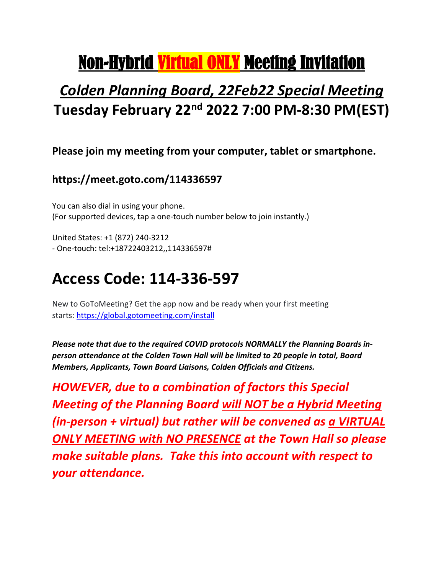# Non-Hybrid Virtual ONLY Meeting Invitation

### *Colden Planning Board, 22Feb22 Special Meeting* **Tuesday February 22nd 2022 7:00 PM-8:30 PM(EST)**

#### **Please join my meeting from your computer, tablet or smartphone.**

### **https://meet.goto.com/114336597**

You can also dial in using your phone. (For supported devices, tap a one-touch number below to join instantly.)

United States: +1 (872) 240-3212 - One-touch: tel:+18722403212,,114336597#

## **Access Code: 114-336-597**

New to GoToMeeting? Get the app now and be ready when your first meeting starts: [https://global.gotomeeting.com/install](https://global.gotomeeting.com/install/236502565)

*Please note that due to the required COVID protocols NORMALLY the Planning Boards inperson attendance at the Colden Town Hall will be limited to 20 people in total, Board Members, Applicants, Town Board Liaisons, Colden Officials and Citizens.* 

*HOWEVER, due to a combination of factors this Special Meeting of the Planning Board will NOT be a Hybrid Meeting (in-person + virtual) but rather will be convened as a VIRTUAL ONLY MEETING with NO PRESENCE at the Town Hall so please make suitable plans. Take this into account with respect to your attendance.*